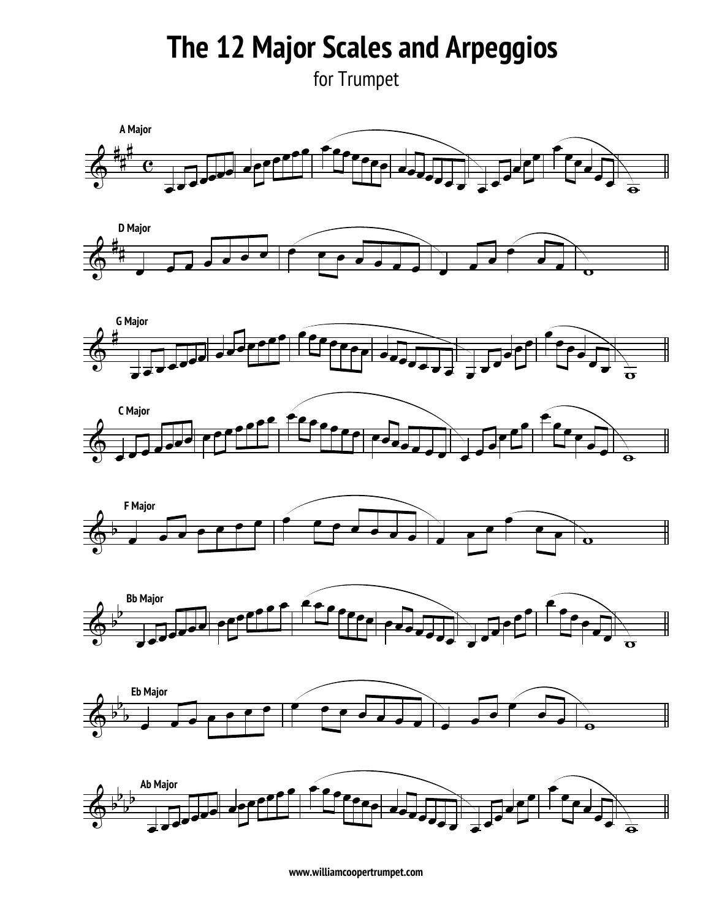**The 12 Major Scales and Arpeggios** 

for Trumpet **SYMPHONIC BAND (GRADES 11-12) TRUMPET**

















**www.williamcoopertrumpet.com**